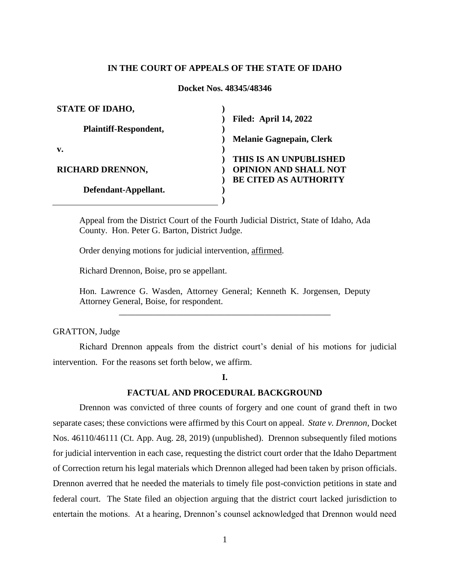## **IN THE COURT OF APPEALS OF THE STATE OF IDAHO**

#### **Docket Nos. 48345/48346**

| <b>STATE OF IDAHO,</b>       |                                 |
|------------------------------|---------------------------------|
|                              | <b>Filed: April 14, 2022</b>    |
| <b>Plaintiff-Respondent,</b> |                                 |
|                              | <b>Melanie Gagnepain, Clerk</b> |
| v.                           |                                 |
|                              | THIS IS AN UNPUBLISHED          |
| <b>RICHARD DRENNON,</b>      | <b>OPINION AND SHALL NOT</b>    |
|                              | <b>BE CITED AS AUTHORITY</b>    |
| Defendant-Appellant.         |                                 |
|                              |                                 |

Appeal from the District Court of the Fourth Judicial District, State of Idaho, Ada County. Hon. Peter G. Barton, District Judge.

Order denying motions for judicial intervention, affirmed.

Richard Drennon, Boise, pro se appellant.

Hon. Lawrence G. Wasden, Attorney General; Kenneth K. Jorgensen, Deputy Attorney General, Boise, for respondent.

\_\_\_\_\_\_\_\_\_\_\_\_\_\_\_\_\_\_\_\_\_\_\_\_\_\_\_\_\_\_\_\_\_\_\_\_\_\_\_\_\_\_\_\_\_\_\_\_

GRATTON, Judge

Richard Drennon appeals from the district court's denial of his motions for judicial intervention. For the reasons set forth below, we affirm.

**I.** 

#### **FACTUAL AND PROCEDURAL BACKGROUND**

Drennon was convicted of three counts of forgery and one count of grand theft in two separate cases; these convictions were affirmed by this Court on appeal. *State v. Drennon*, Docket Nos. 46110/46111 (Ct. App. Aug. 28, 2019) (unpublished). Drennon subsequently filed motions for judicial intervention in each case, requesting the district court order that the Idaho Department of Correction return his legal materials which Drennon alleged had been taken by prison officials. Drennon averred that he needed the materials to timely file post-conviction petitions in state and federal court. The State filed an objection arguing that the district court lacked jurisdiction to entertain the motions. At a hearing, Drennon's counsel acknowledged that Drennon would need